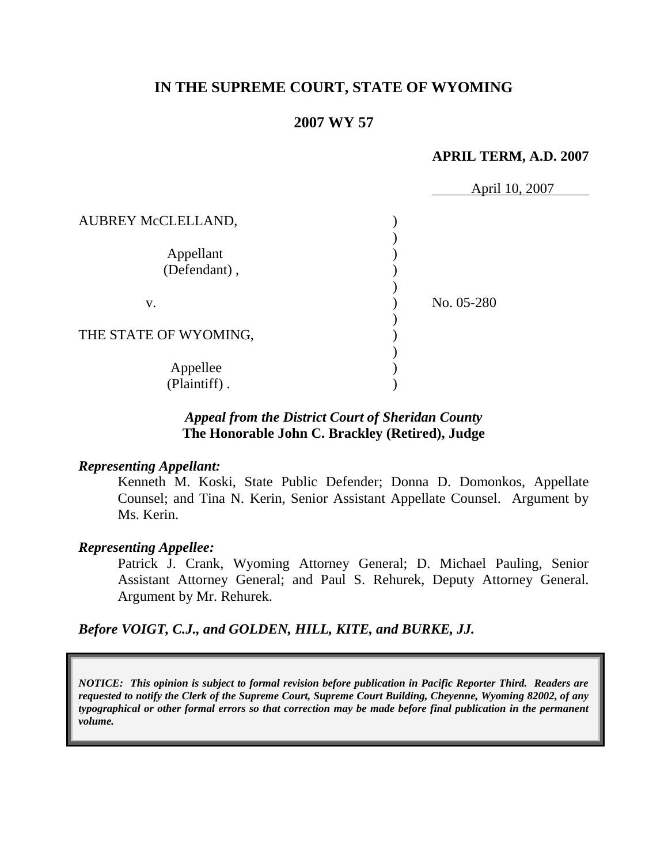# **IN THE SUPREME COURT, STATE OF WYOMING**

## **2007 WY 57**

### **APRIL TERM, A.D. 2007**

|                       | April 10, 2007 |
|-----------------------|----------------|
| AUBREY McCLELLAND,    |                |
|                       |                |
| Appellant             |                |
| (Defendant),          |                |
|                       |                |
| V.                    | No. 05-280     |
|                       |                |
| THE STATE OF WYOMING, |                |
|                       |                |
| Appellee              |                |
| (Plaintiff).          |                |

## *Appeal from the District Court of Sheridan County* **The Honorable John C. Brackley (Retired), Judge**

#### *Representing Appellant:*

Kenneth M. Koski, State Public Defender; Donna D. Domonkos, Appellate Counsel; and Tina N. Kerin, Senior Assistant Appellate Counsel. Argument by Ms. Kerin.

#### *Representing Appellee:*

Patrick J. Crank, Wyoming Attorney General; D. Michael Pauling, Senior Assistant Attorney General; and Paul S. Rehurek, Deputy Attorney General. Argument by Mr. Rehurek.

## *Before VOIGT, C.J., and GOLDEN, HILL, KITE, and BURKE, JJ.*

*NOTICE: This opinion is subject to formal revision before publication in Pacific Reporter Third. Readers are requested to notify the Clerk of the Supreme Court, Supreme Court Building, Cheyenne, Wyoming 82002, of any typographical or other formal errors so that correction may be made before final publication in the permanent volume.*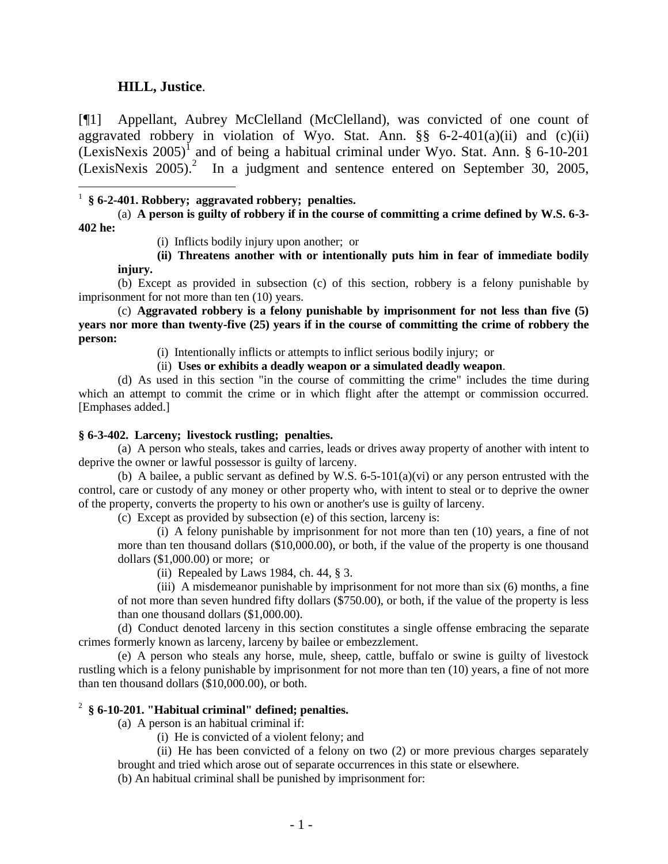### **HILL, Justice**.

l

[¶1] Appellant, Aubrey McClelland (McClelland), was convicted of one count of aggravated robbery in violation of Wyo. Stat. Ann.  $\S\S$  6-2-401(a)(ii) and (c)(ii) (LexisNexis 2005)<sup>1</sup> and of being a habitual criminal under Wyo. Stat. Ann.  $\S$  6-10-201  $(LexisNexis 2005).$ <sup>2</sup> In a judgment and sentence entered on September 30, 2005,

### 1 **§ 6-2-401. Robbery; aggravated robbery; penalties.**

(a) **A person is guilty of robbery if in the course of committing a crime defined by W.S. 6-3- 402 he:**

(i) Inflicts bodily injury upon another; or

**(ii) Threatens another with or intentionally puts him in fear of immediate bodily injury.**

(b) Except as provided in subsection (c) of this section, robbery is a felony punishable by imprisonment for not more than ten (10) years.

(c) **Aggravated robbery is a felony punishable by imprisonment for not less than five (5) years nor more than twenty-five (25) years if in the course of committing the crime of robbery the person:**

(i) Intentionally inflicts or attempts to inflict serious bodily injury; or

(ii) **Uses or exhibits a deadly weapon or a simulated deadly weapon**.

(d) As used in this section "in the course of committing the crime" includes the time during which an attempt to commit the crime or in which flight after the attempt or commission occurred. [Emphases added.]

#### **§ 6-3-402. Larceny; livestock rustling; penalties.**

(a) A person who steals, takes and carries, leads or drives away property of another with intent to deprive the owner or lawful possessor is guilty of larceny.

(b) A bailee, a public servant as defined by W.S.  $6-5-101(a)(vi)$  or any person entrusted with the control, care or custody of any money or other property who, with intent to steal or to deprive the owner of the property, converts the property to his own or another's use is guilty of larceny.

(c) Except as provided by subsection (e) of this section, larceny is:

(i) A felony punishable by imprisonment for not more than ten (10) years, a fine of not more than ten thousand dollars (\$10,000.00), or both, if the value of the property is one thousand dollars (\$1,000.00) or more; or

(ii) Repealed by Laws 1984, ch. 44, § 3.

(iii) A misdemeanor punishable by imprisonment for not more than six (6) months, a fine of not more than seven hundred fifty dollars (\$750.00), or both, if the value of the property is less than one thousand dollars (\$1,000.00).

(d) Conduct denoted larceny in this section constitutes a single offense embracing the separate crimes formerly known as larceny, larceny by bailee or embezzlement.

(e) A person who steals any horse, mule, sheep, cattle, buffalo or swine is guilty of livestock rustling which is a felony punishable by imprisonment for not more than ten (10) years, a fine of not more than ten thousand dollars (\$10,000.00), or both.

#### 2 **§ 6-10-201. "Habitual criminal" defined; penalties.**

(a) A person is an habitual criminal if:

(i) He is convicted of a violent felony; and

(ii) He has been convicted of a felony on two (2) or more previous charges separately brought and tried which arose out of separate occurrences in this state or elsewhere.

(b) An habitual criminal shall be punished by imprisonment for: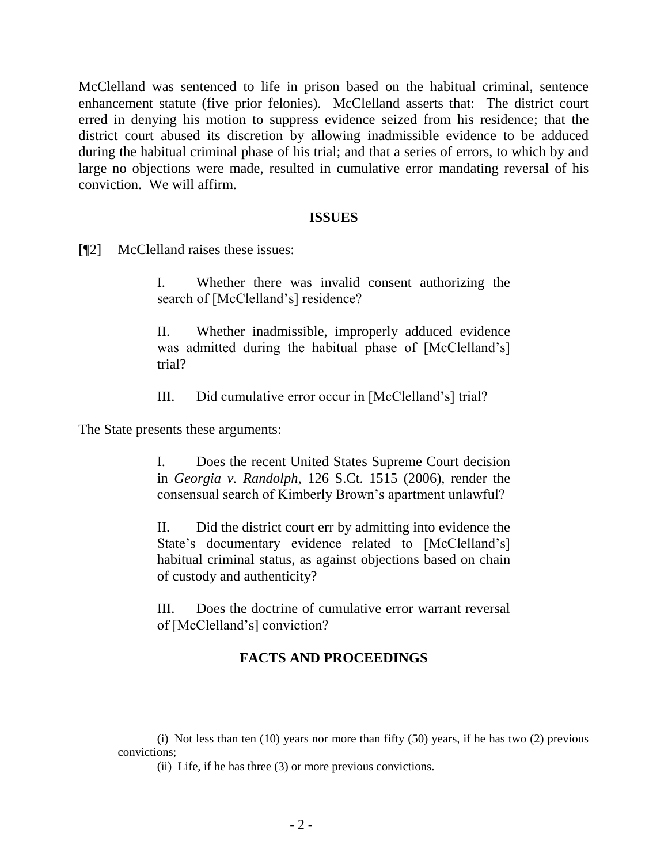McClelland was sentenced to life in prison based on the habitual criminal, sentence enhancement statute (five prior felonies). McClelland asserts that: The district court erred in denying his motion to suppress evidence seized from his residence; that the district court abused its discretion by allowing inadmissible evidence to be adduced during the habitual criminal phase of his trial; and that a series of errors, to which by and large no objections were made, resulted in cumulative error mandating reversal of his conviction. We will affirm.

### **ISSUES**

[¶2] McClelland raises these issues:

I. Whether there was invalid consent authorizing the search of [McClelland's] residence?

II. Whether inadmissible, improperly adduced evidence was admitted during the habitual phase of [McClelland's] trial?

III. Did cumulative error occur in [McClelland's] trial?

The State presents these arguments:

I. Does the recent United States Supreme Court decision in *Georgia v. Randolph*, 126 S.Ct. 1515 (2006), render the consensual search of Kimberly Brown's apartment unlawful?

II. Did the district court err by admitting into evidence the State's documentary evidence related to [McClelland's] habitual criminal status, as against objections based on chain of custody and authenticity?

III. Does the doctrine of cumulative error warrant reversal of [McClelland's] conviction?

# **FACTS AND PROCEEDINGS**

<sup>(</sup>i) Not less than ten (10) years nor more than fifty (50) years, if he has two (2) previous convictions;

<sup>(</sup>ii) Life, if he has three (3) or more previous convictions.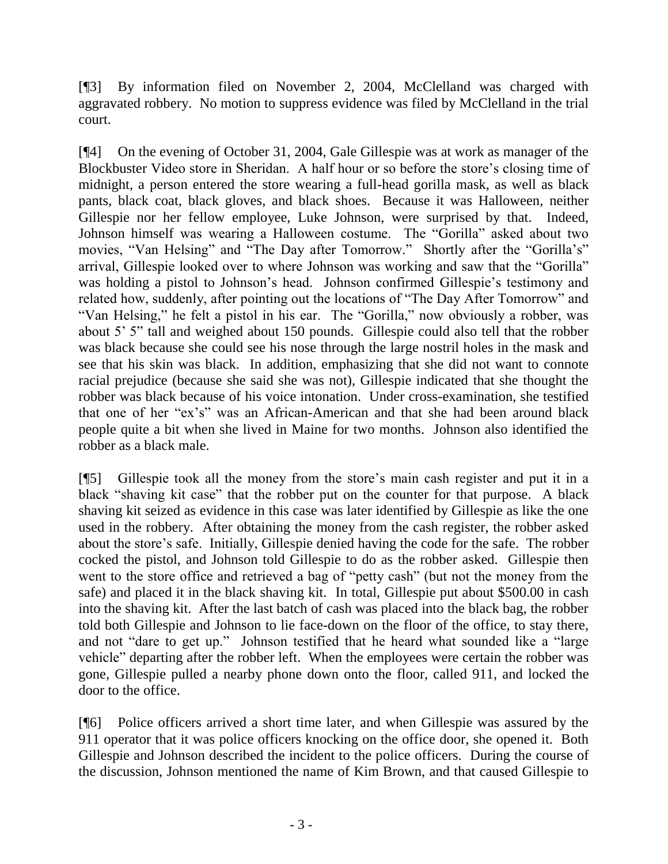[¶3] By information filed on November 2, 2004, McClelland was charged with aggravated robbery. No motion to suppress evidence was filed by McClelland in the trial court.

[¶4] On the evening of October 31, 2004, Gale Gillespie was at work as manager of the Blockbuster Video store in Sheridan. A half hour or so before the store's closing time of midnight, a person entered the store wearing a full-head gorilla mask, as well as black pants, black coat, black gloves, and black shoes. Because it was Halloween, neither Gillespie nor her fellow employee, Luke Johnson, were surprised by that. Indeed, Johnson himself was wearing a Halloween costume. The "Gorilla" asked about two movies, "Van Helsing" and "The Day after Tomorrow." Shortly after the "Gorilla's" arrival, Gillespie looked over to where Johnson was working and saw that the "Gorilla" was holding a pistol to Johnson's head. Johnson confirmed Gillespie's testimony and related how, suddenly, after pointing out the locations of "The Day After Tomorrow" and "Van Helsing," he felt a pistol in his ear. The "Gorilla," now obviously a robber, was about 5' 5" tall and weighed about 150 pounds. Gillespie could also tell that the robber was black because she could see his nose through the large nostril holes in the mask and see that his skin was black. In addition, emphasizing that she did not want to connote racial prejudice (because she said she was not), Gillespie indicated that she thought the robber was black because of his voice intonation. Under cross-examination, she testified that one of her "ex's" was an African-American and that she had been around black people quite a bit when she lived in Maine for two months. Johnson also identified the robber as a black male.

[¶5] Gillespie took all the money from the store's main cash register and put it in a black "shaving kit case" that the robber put on the counter for that purpose. A black shaving kit seized as evidence in this case was later identified by Gillespie as like the one used in the robbery. After obtaining the money from the cash register, the robber asked about the store's safe. Initially, Gillespie denied having the code for the safe. The robber cocked the pistol, and Johnson told Gillespie to do as the robber asked. Gillespie then went to the store office and retrieved a bag of "petty cash" (but not the money from the safe) and placed it in the black shaving kit. In total, Gillespie put about \$500.00 in cash into the shaving kit. After the last batch of cash was placed into the black bag, the robber told both Gillespie and Johnson to lie face-down on the floor of the office, to stay there, and not "dare to get up." Johnson testified that he heard what sounded like a "large vehicle" departing after the robber left. When the employees were certain the robber was gone, Gillespie pulled a nearby phone down onto the floor, called 911, and locked the door to the office.

[¶6] Police officers arrived a short time later, and when Gillespie was assured by the 911 operator that it was police officers knocking on the office door, she opened it. Both Gillespie and Johnson described the incident to the police officers. During the course of the discussion, Johnson mentioned the name of Kim Brown, and that caused Gillespie to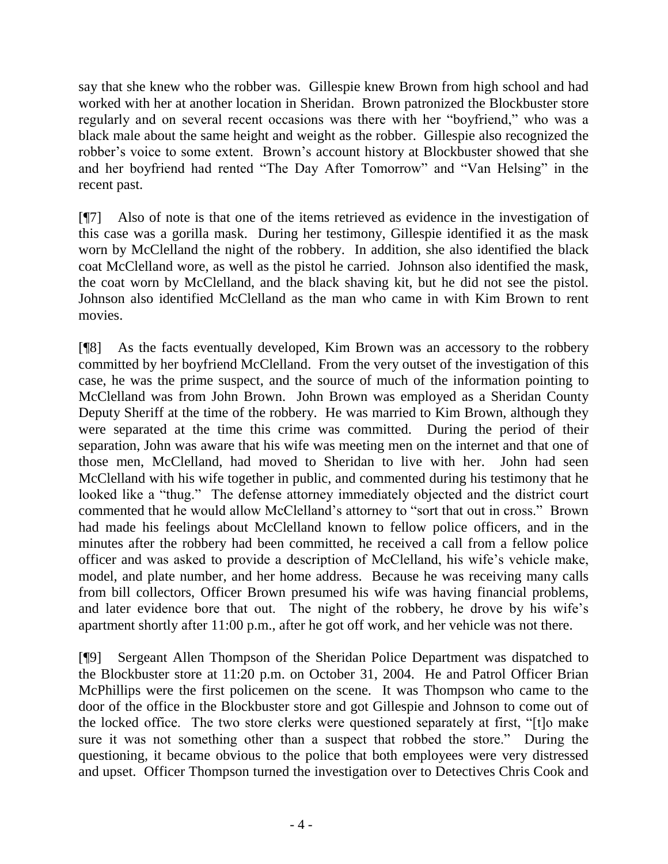say that she knew who the robber was. Gillespie knew Brown from high school and had worked with her at another location in Sheridan. Brown patronized the Blockbuster store regularly and on several recent occasions was there with her "boyfriend," who was a black male about the same height and weight as the robber. Gillespie also recognized the robber's voice to some extent. Brown's account history at Blockbuster showed that she and her boyfriend had rented "The Day After Tomorrow" and "Van Helsing" in the recent past.

[¶7] Also of note is that one of the items retrieved as evidence in the investigation of this case was a gorilla mask. During her testimony, Gillespie identified it as the mask worn by McClelland the night of the robbery. In addition, she also identified the black coat McClelland wore, as well as the pistol he carried. Johnson also identified the mask, the coat worn by McClelland, and the black shaving kit, but he did not see the pistol. Johnson also identified McClelland as the man who came in with Kim Brown to rent movies.

[¶8] As the facts eventually developed, Kim Brown was an accessory to the robbery committed by her boyfriend McClelland. From the very outset of the investigation of this case, he was the prime suspect, and the source of much of the information pointing to McClelland was from John Brown. John Brown was employed as a Sheridan County Deputy Sheriff at the time of the robbery. He was married to Kim Brown, although they were separated at the time this crime was committed. During the period of their separation, John was aware that his wife was meeting men on the internet and that one of those men, McClelland, had moved to Sheridan to live with her. John had seen McClelland with his wife together in public, and commented during his testimony that he looked like a "thug." The defense attorney immediately objected and the district court commented that he would allow McClelland's attorney to "sort that out in cross." Brown had made his feelings about McClelland known to fellow police officers, and in the minutes after the robbery had been committed, he received a call from a fellow police officer and was asked to provide a description of McClelland, his wife's vehicle make, model, and plate number, and her home address. Because he was receiving many calls from bill collectors, Officer Brown presumed his wife was having financial problems, and later evidence bore that out. The night of the robbery, he drove by his wife's apartment shortly after 11:00 p.m., after he got off work, and her vehicle was not there.

[¶9] Sergeant Allen Thompson of the Sheridan Police Department was dispatched to the Blockbuster store at 11:20 p.m. on October 31, 2004. He and Patrol Officer Brian McPhillips were the first policemen on the scene. It was Thompson who came to the door of the office in the Blockbuster store and got Gillespie and Johnson to come out of the locked office. The two store clerks were questioned separately at first, "[t]o make sure it was not something other than a suspect that robbed the store." During the questioning, it became obvious to the police that both employees were very distressed and upset. Officer Thompson turned the investigation over to Detectives Chris Cook and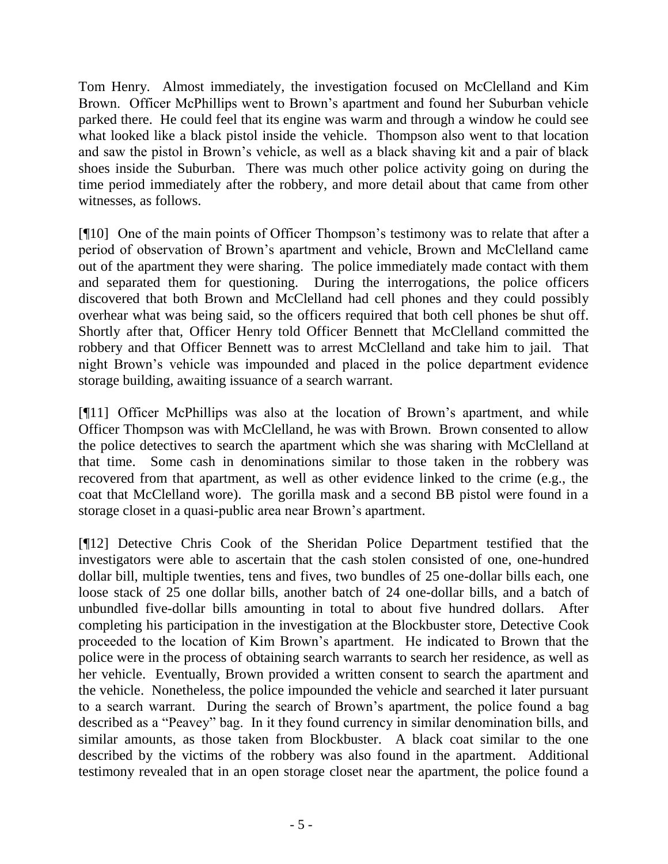Tom Henry. Almost immediately, the investigation focused on McClelland and Kim Brown. Officer McPhillips went to Brown's apartment and found her Suburban vehicle parked there. He could feel that its engine was warm and through a window he could see what looked like a black pistol inside the vehicle. Thompson also went to that location and saw the pistol in Brown's vehicle, as well as a black shaving kit and a pair of black shoes inside the Suburban. There was much other police activity going on during the time period immediately after the robbery, and more detail about that came from other witnesses, as follows.

[¶10] One of the main points of Officer Thompson's testimony was to relate that after a period of observation of Brown's apartment and vehicle, Brown and McClelland came out of the apartment they were sharing. The police immediately made contact with them and separated them for questioning. During the interrogations, the police officers discovered that both Brown and McClelland had cell phones and they could possibly overhear what was being said, so the officers required that both cell phones be shut off. Shortly after that, Officer Henry told Officer Bennett that McClelland committed the robbery and that Officer Bennett was to arrest McClelland and take him to jail. That night Brown's vehicle was impounded and placed in the police department evidence storage building, awaiting issuance of a search warrant.

[¶11] Officer McPhillips was also at the location of Brown's apartment, and while Officer Thompson was with McClelland, he was with Brown. Brown consented to allow the police detectives to search the apartment which she was sharing with McClelland at that time. Some cash in denominations similar to those taken in the robbery was recovered from that apartment, as well as other evidence linked to the crime (e.g., the coat that McClelland wore). The gorilla mask and a second BB pistol were found in a storage closet in a quasi-public area near Brown's apartment.

[¶12] Detective Chris Cook of the Sheridan Police Department testified that the investigators were able to ascertain that the cash stolen consisted of one, one-hundred dollar bill, multiple twenties, tens and fives, two bundles of 25 one-dollar bills each, one loose stack of 25 one dollar bills, another batch of 24 one-dollar bills, and a batch of unbundled five-dollar bills amounting in total to about five hundred dollars. After completing his participation in the investigation at the Blockbuster store, Detective Cook proceeded to the location of Kim Brown's apartment. He indicated to Brown that the police were in the process of obtaining search warrants to search her residence, as well as her vehicle. Eventually, Brown provided a written consent to search the apartment and the vehicle. Nonetheless, the police impounded the vehicle and searched it later pursuant to a search warrant. During the search of Brown's apartment, the police found a bag described as a "Peavey" bag. In it they found currency in similar denomination bills, and similar amounts, as those taken from Blockbuster. A black coat similar to the one described by the victims of the robbery was also found in the apartment. Additional testimony revealed that in an open storage closet near the apartment, the police found a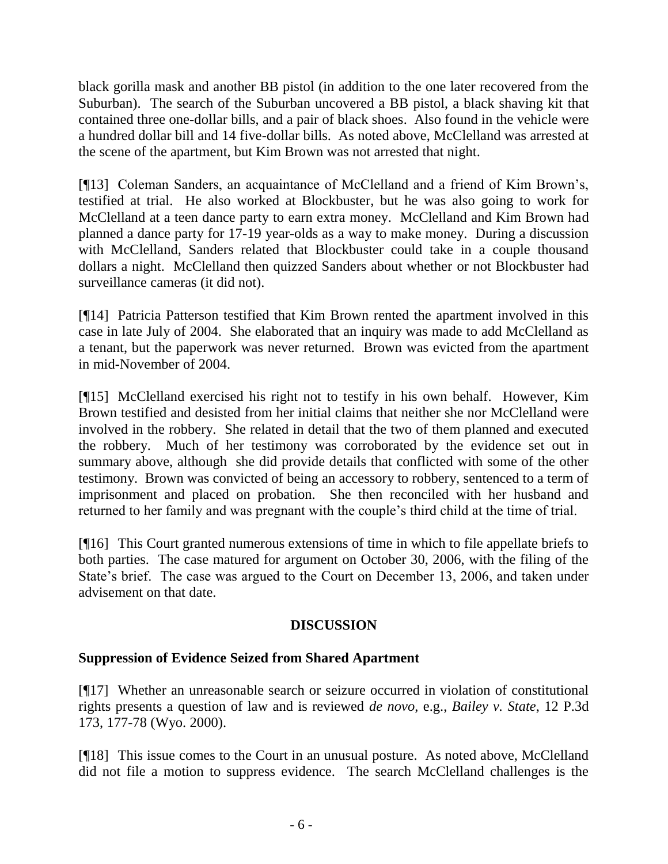black gorilla mask and another BB pistol (in addition to the one later recovered from the Suburban). The search of the Suburban uncovered a BB pistol, a black shaving kit that contained three one-dollar bills, and a pair of black shoes. Also found in the vehicle were a hundred dollar bill and 14 five-dollar bills. As noted above, McClelland was arrested at the scene of the apartment, but Kim Brown was not arrested that night.

[¶13] Coleman Sanders, an acquaintance of McClelland and a friend of Kim Brown's, testified at trial. He also worked at Blockbuster, but he was also going to work for McClelland at a teen dance party to earn extra money. McClelland and Kim Brown had planned a dance party for 17-19 year-olds as a way to make money. During a discussion with McClelland, Sanders related that Blockbuster could take in a couple thousand dollars a night. McClelland then quizzed Sanders about whether or not Blockbuster had surveillance cameras (it did not).

[¶14] Patricia Patterson testified that Kim Brown rented the apartment involved in this case in late July of 2004. She elaborated that an inquiry was made to add McClelland as a tenant, but the paperwork was never returned. Brown was evicted from the apartment in mid-November of 2004.

[¶15] McClelland exercised his right not to testify in his own behalf. However, Kim Brown testified and desisted from her initial claims that neither she nor McClelland were involved in the robbery. She related in detail that the two of them planned and executed the robbery. Much of her testimony was corroborated by the evidence set out in summary above, although she did provide details that conflicted with some of the other testimony. Brown was convicted of being an accessory to robbery, sentenced to a term of imprisonment and placed on probation. She then reconciled with her husband and returned to her family and was pregnant with the couple's third child at the time of trial.

[¶16] This Court granted numerous extensions of time in which to file appellate briefs to both parties. The case matured for argument on October 30, 2006, with the filing of the State's brief. The case was argued to the Court on December 13, 2006, and taken under advisement on that date.

# **DISCUSSION**

# **Suppression of Evidence Seized from Shared Apartment**

[¶17] Whether an unreasonable search or seizure occurred in violation of constitutional rights presents a question of law and is reviewed *de novo*, e.g., *Bailey v. State*, 12 P.3d 173, 177-78 (Wyo. 2000).

[¶18] This issue comes to the Court in an unusual posture. As noted above, McClelland did not file a motion to suppress evidence. The search McClelland challenges is the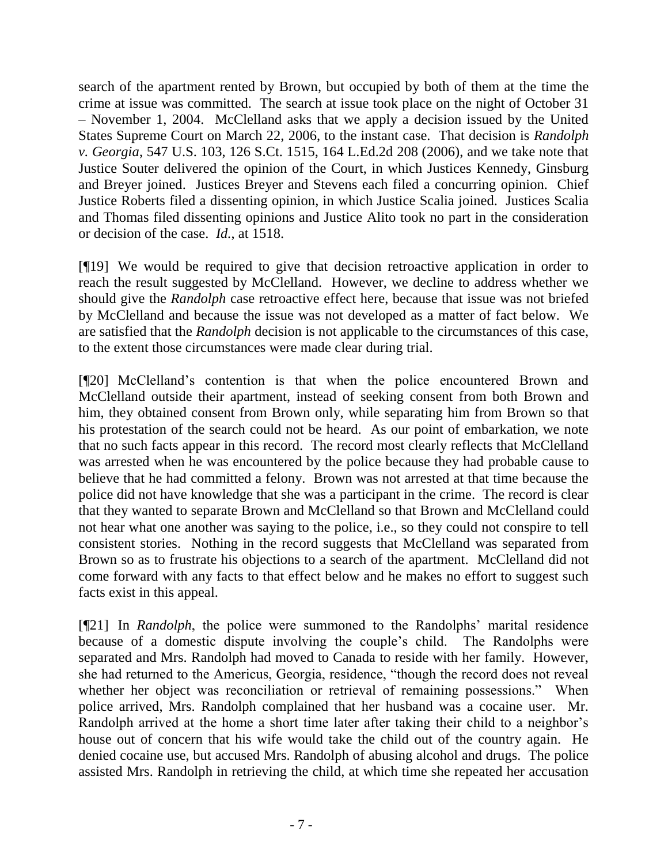search of the apartment rented by Brown, but occupied by both of them at the time the crime at issue was committed. The search at issue took place on the night of October 31 – November 1, 2004. McClelland asks that we apply a decision issued by the United States Supreme Court on March 22, 2006, to the instant case. That decision is *Randolph v. Georgia*, 547 U.S. 103, 126 S.Ct. 1515, 164 L.Ed.2d 208 (2006), and we take note that Justice Souter delivered the opinion of the Court, in which Justices Kennedy, Ginsburg and Breyer joined. Justices Breyer and Stevens each filed a concurring opinion. Chief Justice Roberts filed a dissenting opinion, in which Justice Scalia joined. Justices Scalia and Thomas filed dissenting opinions and Justice Alito took no part in the consideration or decision of the case. *Id.*, at 1518.

[¶19] We would be required to give that decision retroactive application in order to reach the result suggested by McClelland. However, we decline to address whether we should give the *Randolph* case retroactive effect here, because that issue was not briefed by McClelland and because the issue was not developed as a matter of fact below. We are satisfied that the *Randolph* decision is not applicable to the circumstances of this case, to the extent those circumstances were made clear during trial.

[¶20] McClelland's contention is that when the police encountered Brown and McClelland outside their apartment, instead of seeking consent from both Brown and him, they obtained consent from Brown only, while separating him from Brown so that his protestation of the search could not be heard. As our point of embarkation, we note that no such facts appear in this record. The record most clearly reflects that McClelland was arrested when he was encountered by the police because they had probable cause to believe that he had committed a felony. Brown was not arrested at that time because the police did not have knowledge that she was a participant in the crime. The record is clear that they wanted to separate Brown and McClelland so that Brown and McClelland could not hear what one another was saying to the police, i.e., so they could not conspire to tell consistent stories. Nothing in the record suggests that McClelland was separated from Brown so as to frustrate his objections to a search of the apartment. McClelland did not come forward with any facts to that effect below and he makes no effort to suggest such facts exist in this appeal.

[¶21] In *Randolph*, the police were summoned to the Randolphs' marital residence because of a domestic dispute involving the couple's child. The Randolphs were separated and Mrs. Randolph had moved to Canada to reside with her family. However, she had returned to the Americus, Georgia, residence, "though the record does not reveal whether her object was reconciliation or retrieval of remaining possessions." When police arrived, Mrs. Randolph complained that her husband was a cocaine user. Mr. Randolph arrived at the home a short time later after taking their child to a neighbor's house out of concern that his wife would take the child out of the country again. He denied cocaine use, but accused Mrs. Randolph of abusing alcohol and drugs. The police assisted Mrs. Randolph in retrieving the child, at which time she repeated her accusation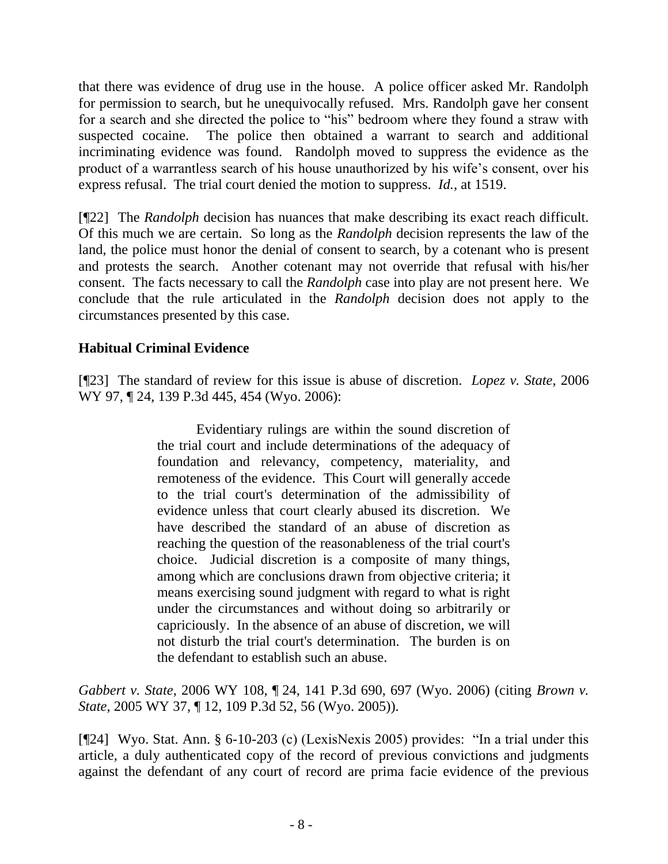that there was evidence of drug use in the house. A police officer asked Mr. Randolph for permission to search, but he unequivocally refused. Mrs. Randolph gave her consent for a search and she directed the police to "his" bedroom where they found a straw with suspected cocaine. The police then obtained a warrant to search and additional incriminating evidence was found. Randolph moved to suppress the evidence as the product of a warrantless search of his house unauthorized by his wife's consent, over his express refusal. The trial court denied the motion to suppress. *Id.*, at 1519.

[¶22] The *Randolph* decision has nuances that make describing its exact reach difficult. Of this much we are certain. So long as the *Randolph* decision represents the law of the land, the police must honor the denial of consent to search, by a cotenant who is present and protests the search. Another cotenant may not override that refusal with his/her consent. The facts necessary to call the *Randolph* case into play are not present here. We conclude that the rule articulated in the *Randolph* decision does not apply to the circumstances presented by this case.

# **Habitual Criminal Evidence**

[¶23] The standard of review for this issue is abuse of discretion. *Lopez v. State*, 2006 WY 97, 124, 139 P.3d 445, 454 (Wyo. 2006):

> Evidentiary rulings are within the sound discretion of the trial court and include determinations of the adequacy of foundation and relevancy, competency, materiality, and remoteness of the evidence. This Court will generally accede to the trial court's determination of the admissibility of evidence unless that court clearly abused its discretion. We have described the standard of an abuse of discretion as reaching the question of the reasonableness of the trial court's choice. Judicial discretion is a composite of many things, among which are conclusions drawn from objective criteria; it means exercising sound judgment with regard to what is right under the circumstances and without doing so arbitrarily or capriciously. In the absence of an abuse of discretion, we will not disturb the trial court's determination. The burden is on the defendant to establish such an abuse.

*Gabbert v. State*, 2006 WY 108, ¶ 24, 141 P.3d 690, 697 (Wyo. 2006) (citing *Brown v. State*, 2005 WY 37, ¶ 12, 109 P.3d 52, 56 (Wyo. 2005)).

[¶24] Wyo. Stat. Ann. § 6-10-203 (c) (LexisNexis 2005) provides: "In a trial under this article, a duly authenticated copy of the record of previous convictions and judgments against the defendant of any court of record are prima facie evidence of the previous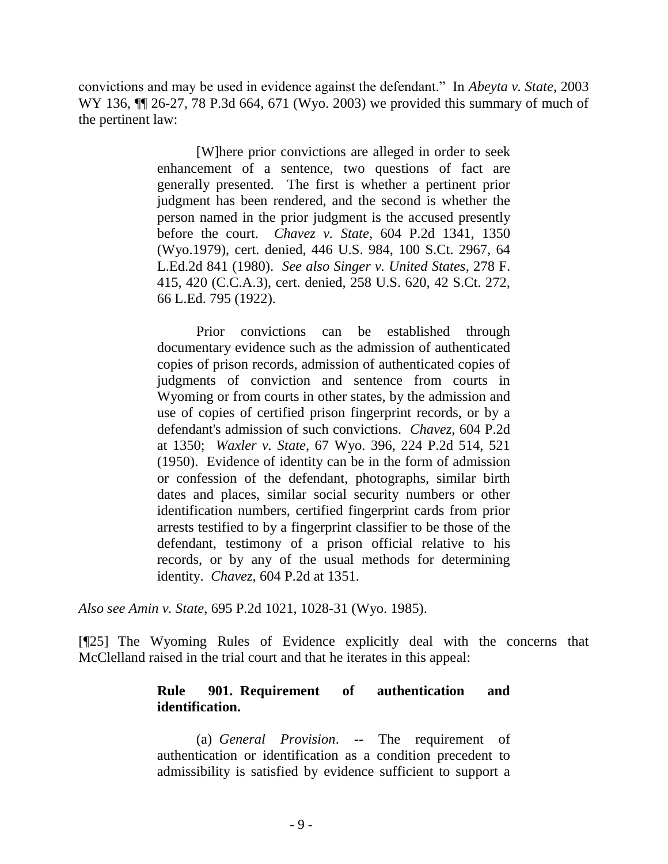convictions and may be used in evidence against the defendant." In *Abeyta v. State*, 2003 WY 136,  $\mathbb{I}$  26-27, 78 P.3d 664, 671 (Wyo. 2003) we provided this summary of much of the pertinent law:

> [W]here prior convictions are alleged in order to seek enhancement of a sentence, two questions of fact are generally presented. The first is whether a pertinent prior judgment has been rendered, and the second is whether the person named in the prior judgment is the accused presently before the court. *Chavez v. State*, 604 P.2d 1341, 1350 (Wyo.1979), cert. denied, 446 U.S. 984, 100 S.Ct. 2967, 64 L.Ed.2d 841 (1980). *See also Singer v. United States*, 278 F. 415, 420 (C.C.A.3), cert. denied, 258 U.S. 620, 42 S.Ct. 272, 66 L.Ed. 795 (1922).

> Prior convictions can be established through documentary evidence such as the admission of authenticated copies of prison records, admission of authenticated copies of judgments of conviction and sentence from courts in Wyoming or from courts in other states, by the admission and use of copies of certified prison fingerprint records, or by a defendant's admission of such convictions. *Chavez*, 604 P.2d at 1350; *Waxler v. State*, 67 Wyo. 396, 224 P.2d 514, 521 (1950). Evidence of identity can be in the form of admission or confession of the defendant, photographs, similar birth dates and places, similar social security numbers or other identification numbers, certified fingerprint cards from prior arrests testified to by a fingerprint classifier to be those of the defendant, testimony of a prison official relative to his records, or by any of the usual methods for determining identity. *Chavez*, 604 P.2d at 1351.

*Also see Amin v. State*, 695 P.2d 1021, 1028-31 (Wyo. 1985).

[¶25] The Wyoming Rules of Evidence explicitly deal with the concerns that McClelland raised in the trial court and that he iterates in this appeal:

## **Rule 901. Requirement of authentication and identification.**

(a) *General Provision*. -- The requirement of authentication or identification as a condition precedent to admissibility is satisfied by evidence sufficient to support a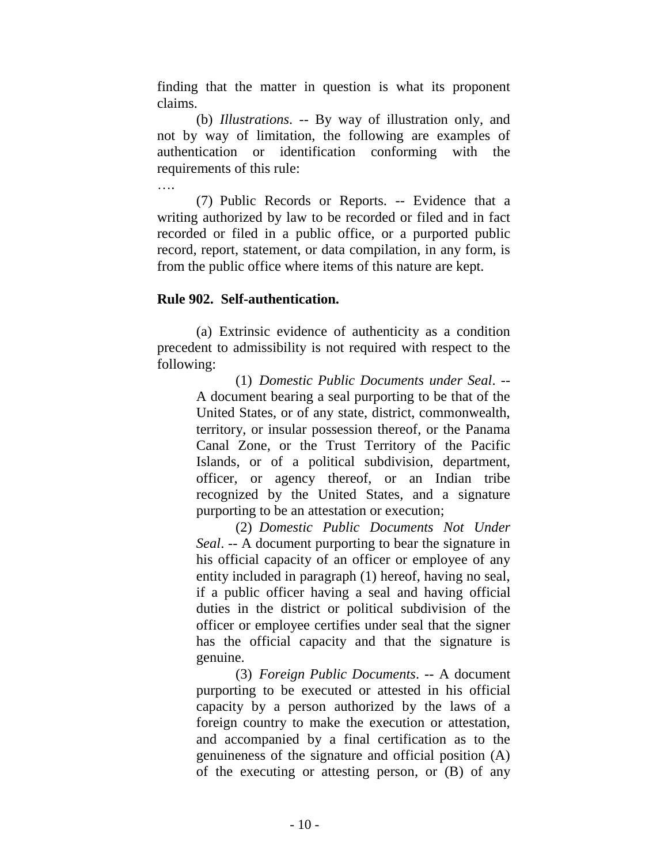finding that the matter in question is what its proponent claims.

(b) *Illustrations*. -- By way of illustration only, and not by way of limitation, the following are examples of authentication or identification conforming with the requirements of this rule:

(7) Public Records or Reports. -- Evidence that a writing authorized by law to be recorded or filed and in fact recorded or filed in a public office, or a purported public record, report, statement, or data compilation, in any form, is from the public office where items of this nature are kept.

## **Rule 902. Self-authentication.**

….

(a) Extrinsic evidence of authenticity as a condition precedent to admissibility is not required with respect to the following:

(1) *Domestic Public Documents under Seal*. -- A document bearing a seal purporting to be that of the United States, or of any state, district, commonwealth, territory, or insular possession thereof, or the Panama Canal Zone, or the Trust Territory of the Pacific Islands, or of a political subdivision, department, officer, or agency thereof, or an Indian tribe recognized by the United States, and a signature purporting to be an attestation or execution;

(2) *Domestic Public Documents Not Under Seal*. -- A document purporting to bear the signature in his official capacity of an officer or employee of any entity included in paragraph (1) hereof, having no seal, if a public officer having a seal and having official duties in the district or political subdivision of the officer or employee certifies under seal that the signer has the official capacity and that the signature is genuine.

(3) *Foreign Public Documents*. -- A document purporting to be executed or attested in his official capacity by a person authorized by the laws of a foreign country to make the execution or attestation, and accompanied by a final certification as to the genuineness of the signature and official position (A) of the executing or attesting person, or (B) of any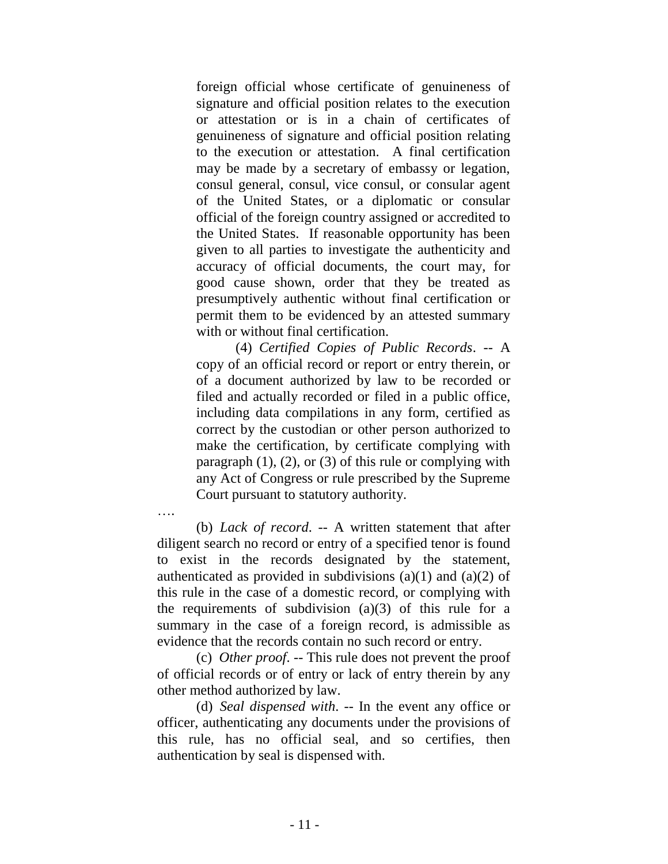foreign official whose certificate of genuineness of signature and official position relates to the execution or attestation or is in a chain of certificates of genuineness of signature and official position relating to the execution or attestation. A final certification may be made by a secretary of embassy or legation, consul general, consul, vice consul, or consular agent of the United States, or a diplomatic or consular official of the foreign country assigned or accredited to the United States. If reasonable opportunity has been given to all parties to investigate the authenticity and accuracy of official documents, the court may, for good cause shown, order that they be treated as presumptively authentic without final certification or permit them to be evidenced by an attested summary with or without final certification.

(4) *Certified Copies of Public Records*. -- A copy of an official record or report or entry therein, or of a document authorized by law to be recorded or filed and actually recorded or filed in a public office, including data compilations in any form, certified as correct by the custodian or other person authorized to make the certification, by certificate complying with paragraph (1), (2), or (3) of this rule or complying with any Act of Congress or rule prescribed by the Supreme Court pursuant to statutory authority.

(b) *Lack of record*. -- A written statement that after diligent search no record or entry of a specified tenor is found to exist in the records designated by the statement, authenticated as provided in subdivisions  $(a)(1)$  and  $(a)(2)$  of this rule in the case of a domestic record, or complying with the requirements of subdivision  $(a)(3)$  of this rule for a summary in the case of a foreign record, is admissible as evidence that the records contain no such record or entry.

….

(c) *Other proof*. -- This rule does not prevent the proof of official records or of entry or lack of entry therein by any other method authorized by law.

(d) *Seal dispensed with*. -- In the event any office or officer, authenticating any documents under the provisions of this rule, has no official seal, and so certifies, then authentication by seal is dispensed with.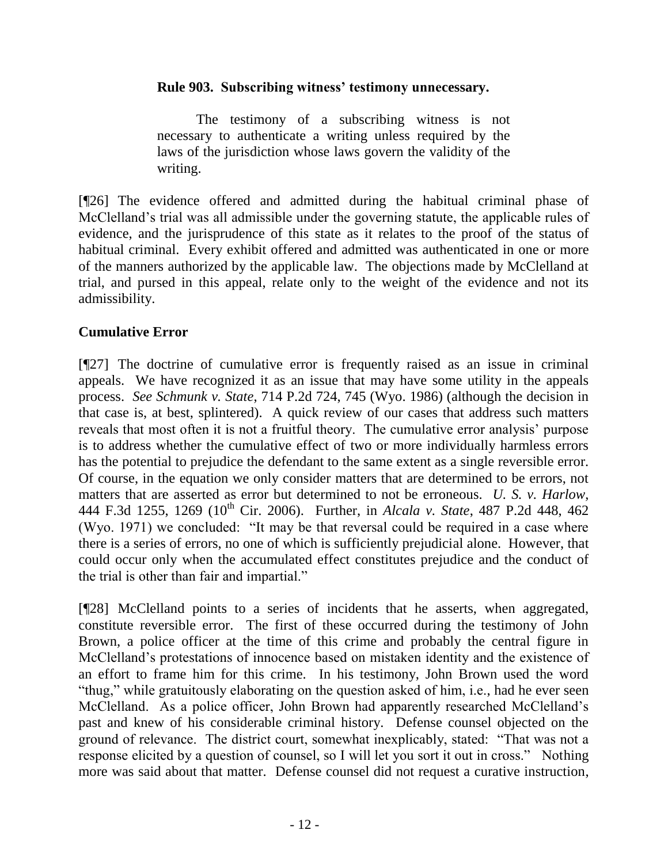### **Rule 903. Subscribing witness' testimony unnecessary.**

The testimony of a subscribing witness is not necessary to authenticate a writing unless required by the laws of the jurisdiction whose laws govern the validity of the writing.

[¶26] The evidence offered and admitted during the habitual criminal phase of McClelland's trial was all admissible under the governing statute, the applicable rules of evidence, and the jurisprudence of this state as it relates to the proof of the status of habitual criminal. Every exhibit offered and admitted was authenticated in one or more of the manners authorized by the applicable law. The objections made by McClelland at trial, and pursed in this appeal, relate only to the weight of the evidence and not its admissibility.

# **Cumulative Error**

[¶27] The doctrine of cumulative error is frequently raised as an issue in criminal appeals. We have recognized it as an issue that may have some utility in the appeals process. *See Schmunk v. State*, 714 P.2d 724, 745 (Wyo. 1986) (although the decision in that case is, at best, splintered). A quick review of our cases that address such matters reveals that most often it is not a fruitful theory. The cumulative error analysis' purpose is to address whether the cumulative effect of two or more individually harmless errors has the potential to prejudice the defendant to the same extent as a single reversible error. Of course, in the equation we only consider matters that are determined to be errors, not matters that are asserted as error but determined to not be erroneous. *U. S. v. Harlow*, 444 F.3d 1255, 1269 (10<sup>th</sup> Cir. 2006). Further, in *Alcala v. State*, 487 P.2d 448, 462 (Wyo. 1971) we concluded: "It may be that reversal could be required in a case where there is a series of errors, no one of which is sufficiently prejudicial alone. However, that could occur only when the accumulated effect constitutes prejudice and the conduct of the trial is other than fair and impartial."

[¶28] McClelland points to a series of incidents that he asserts, when aggregated, constitute reversible error. The first of these occurred during the testimony of John Brown, a police officer at the time of this crime and probably the central figure in McClelland's protestations of innocence based on mistaken identity and the existence of an effort to frame him for this crime. In his testimony, John Brown used the word "thug," while gratuitously elaborating on the question asked of him, i.e., had he ever seen McClelland. As a police officer, John Brown had apparently researched McClelland's past and knew of his considerable criminal history. Defense counsel objected on the ground of relevance. The district court, somewhat inexplicably, stated: "That was not a response elicited by a question of counsel, so I will let you sort it out in cross." Nothing more was said about that matter. Defense counsel did not request a curative instruction,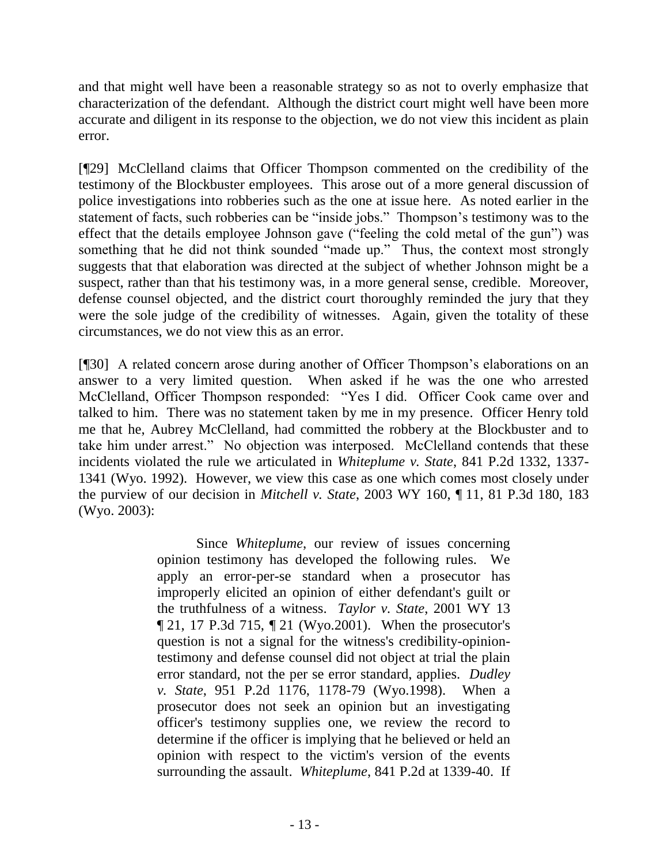and that might well have been a reasonable strategy so as not to overly emphasize that characterization of the defendant. Although the district court might well have been more accurate and diligent in its response to the objection, we do not view this incident as plain error.

[¶29] McClelland claims that Officer Thompson commented on the credibility of the testimony of the Blockbuster employees. This arose out of a more general discussion of police investigations into robberies such as the one at issue here. As noted earlier in the statement of facts, such robberies can be "inside jobs." Thompson's testimony was to the effect that the details employee Johnson gave ("feeling the cold metal of the gun") was something that he did not think sounded "made up." Thus, the context most strongly suggests that that elaboration was directed at the subject of whether Johnson might be a suspect, rather than that his testimony was, in a more general sense, credible. Moreover, defense counsel objected, and the district court thoroughly reminded the jury that they were the sole judge of the credibility of witnesses. Again, given the totality of these circumstances, we do not view this as an error.

[¶30] A related concern arose during another of Officer Thompson's elaborations on an answer to a very limited question. When asked if he was the one who arrested McClelland, Officer Thompson responded: "Yes I did. Officer Cook came over and talked to him. There was no statement taken by me in my presence. Officer Henry told me that he, Aubrey McClelland, had committed the robbery at the Blockbuster and to take him under arrest." No objection was interposed. McClelland contends that these incidents violated the rule we articulated in *Whiteplume v. State*, 841 P.2d 1332, 1337- 1341 (Wyo. 1992). However, we view this case as one which comes most closely under the purview of our decision in *Mitchell v. State*, 2003 WY 160, ¶ 11, 81 P.3d 180, 183 (Wyo. 2003):

> Since *Whiteplume*, our review of issues concerning opinion testimony has developed the following rules. We apply an error-per-se standard when a prosecutor has improperly elicited an opinion of either defendant's guilt or the truthfulness of a witness. *Taylor v. State*, 2001 WY 13 ¶ 21, 17 P.3d 715, ¶ 21 (Wyo.2001). When the prosecutor's question is not a signal for the witness's credibility-opiniontestimony and defense counsel did not object at trial the plain error standard, not the per se error standard, applies. *Dudley v. State*, 951 P.2d 1176, 1178-79 (Wyo.1998). When a prosecutor does not seek an opinion but an investigating officer's testimony supplies one, we review the record to determine if the officer is implying that he believed or held an opinion with respect to the victim's version of the events surrounding the assault. *Whiteplume*, 841 P.2d at 1339-40. If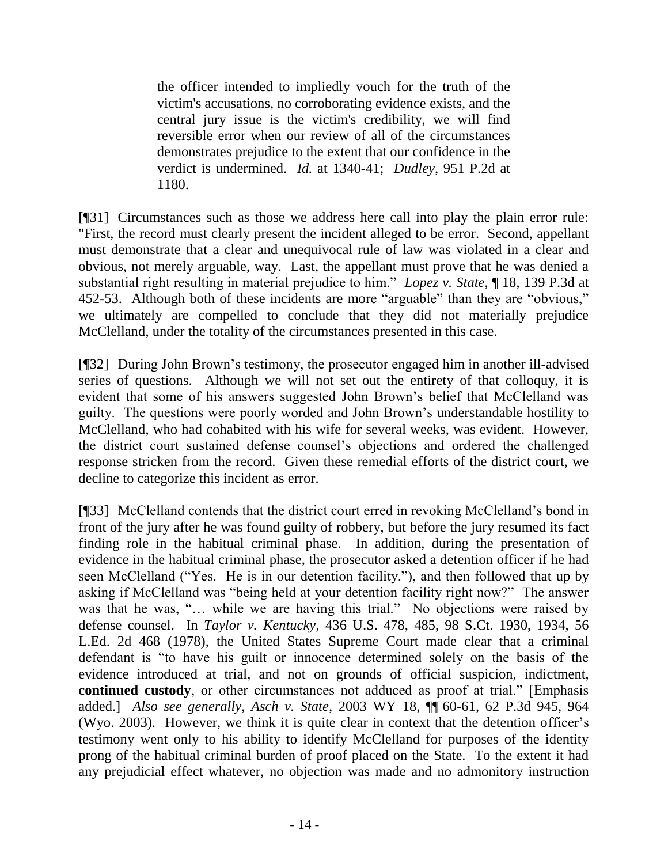the officer intended to impliedly vouch for the truth of the victim's accusations, no corroborating evidence exists, and the central jury issue is the victim's credibility, we will find reversible error when our review of all of the circumstances demonstrates prejudice to the extent that our confidence in the verdict is undermined. *Id.* at 1340-41; *Dudley*, 951 P.2d at 1180.

[¶31] Circumstances such as those we address here call into play the plain error rule: "First, the record must clearly present the incident alleged to be error. Second, appellant must demonstrate that a clear and unequivocal rule of law was violated in a clear and obvious, not merely arguable, way. Last, the appellant must prove that he was denied a substantial right resulting in material prejudice to him." *Lopez v. State*, ¶ 18, 139 P.3d at 452-53. Although both of these incidents are more "arguable" than they are "obvious," we ultimately are compelled to conclude that they did not materially prejudice McClelland, under the totality of the circumstances presented in this case.

[¶32] During John Brown's testimony, the prosecutor engaged him in another ill-advised series of questions. Although we will not set out the entirety of that colloquy, it is evident that some of his answers suggested John Brown's belief that McClelland was guilty. The questions were poorly worded and John Brown's understandable hostility to McClelland, who had cohabited with his wife for several weeks, was evident. However, the district court sustained defense counsel's objections and ordered the challenged response stricken from the record. Given these remedial efforts of the district court, we decline to categorize this incident as error.

[¶33] McClelland contends that the district court erred in revoking McClelland's bond in front of the jury after he was found guilty of robbery, but before the jury resumed its fact finding role in the habitual criminal phase. In addition, during the presentation of evidence in the habitual criminal phase, the prosecutor asked a detention officer if he had seen McClelland ("Yes. He is in our detention facility."), and then followed that up by asking if McClelland was "being held at your detention facility right now?" The answer was that he was, "... while we are having this trial." No objections were raised by defense counsel. In *Taylor v. Kentucky*, 436 U.S. 478, 485, 98 S.Ct. 1930, 1934, 56 L.Ed. 2d 468 (1978), the United States Supreme Court made clear that a criminal defendant is "to have his guilt or innocence determined solely on the basis of the evidence introduced at trial, and not on grounds of official suspicion, indictment, **continued custody**, or other circumstances not adduced as proof at trial." [Emphasis added.] *Also see generally*, *Asch v. State*, 2003 WY 18, ¶¶ 60-61, 62 P.3d 945, 964 (Wyo. 2003). However, we think it is quite clear in context that the detention officer's testimony went only to his ability to identify McClelland for purposes of the identity prong of the habitual criminal burden of proof placed on the State. To the extent it had any prejudicial effect whatever, no objection was made and no admonitory instruction